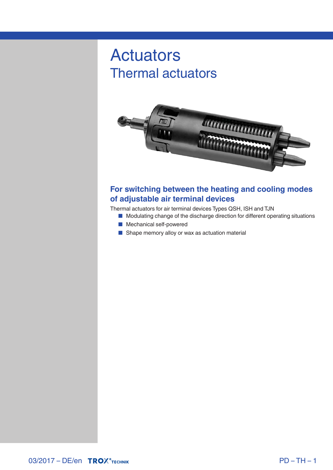# Actuators Thermal actuators



## **For switching between the heating and cooling modes of adjustable air terminal devices**

Thermal actuators for air terminal devices Types QSH, ISH and TJN

- Modulating change of the discharge direction for different operating situations
- Mechanical self-powered
- Shape memory alloy or wax as actuation material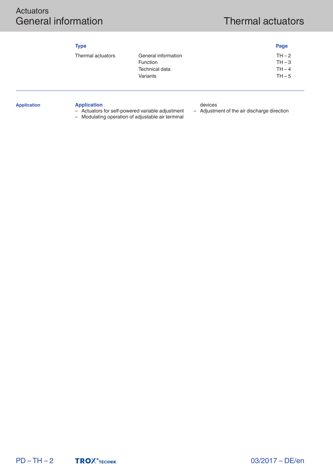# Actuators General information **Thermal actuators**

| v.<br>۰. |
|----------|
|----------|

| <b>Type</b>       |                     | Page     |
|-------------------|---------------------|----------|
| Thermal actuators | General information | $TH-2$   |
|                   | <b>Function</b>     | $TH - 3$ |
|                   | Technical data      | $TH - 4$ |
|                   | Variants            | $TH - 5$ |
|                   |                     |          |

#### **Application**

#### **Application** – Actuators for self-powered variable adjustment

– Modulating operation of adjustable air terminal

devices

– Adjustment of the air discharge direction

 $PD - TH - 2$ **TROX**<sup>®</sup>TECHNIK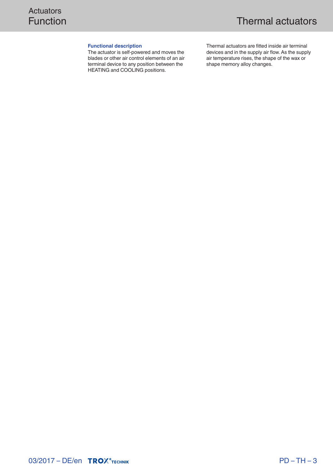#### **Functional description**

The actuator is self-powered and moves the blades or other air control elements of an air terminal device to any position between the HEATING and COOLING positions.

Thermal actuators are fitted inside air terminal devices and in the supply air flow. As the supply air temperature rises, the shape of the wax or shape memory alloy changes.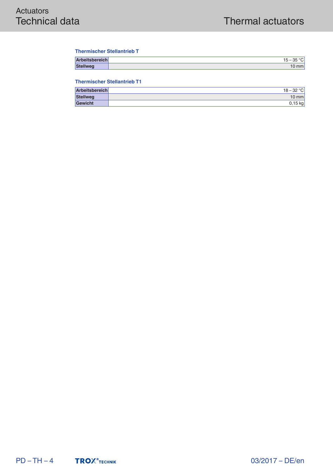#### **Thermischer Stellantrieb T**

| Arbeitsbereich  | $\sim$<br>. –<br>15 –<br>ັ |
|-----------------|----------------------------|
| <b>Stellweg</b> | mm                         |

#### **Thermischer Stellantrieb T1**

| Arbeitsbereich  | $18 - 32 °C$ |
|-----------------|--------------|
| <b>Stellweg</b> | $10$ mm      |
| <b>Gewicht</b>  | $0,15$ kg    |